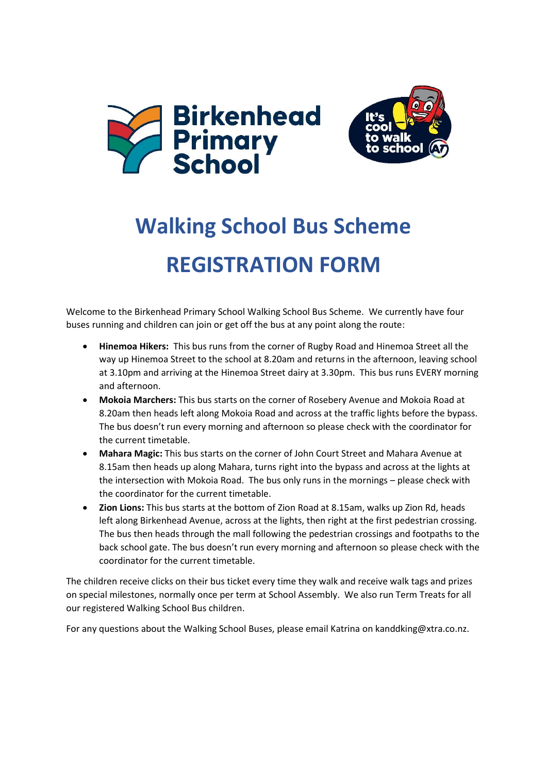



## **Walking School Bus Scheme REGISTRATION FORM**

Welcome to the Birkenhead Primary School Walking School Bus Scheme. We currently have four buses running and children can join or get off the bus at any point along the route:

- **Hinemoa Hikers:** This bus runs from the corner of Rugby Road and Hinemoa Street all the way up Hinemoa Street to the school at 8.20am and returns in the afternoon, leaving school at 3.10pm and arriving at the Hinemoa Street dairy at 3.30pm. This bus runs EVERY morning and afternoon.
- **Mokoia Marchers:** This bus starts on the corner of Rosebery Avenue and Mokoia Road at 8.20am then heads left along Mokoia Road and across at the traffic lights before the bypass. The bus doesn't run every morning and afternoon so please check with the coordinator for the current timetable.
- **Mahara Magic:** This bus starts on the corner of John Court Street and Mahara Avenue at 8.15am then heads up along Mahara, turns right into the bypass and across at the lights at the intersection with Mokoia Road. The bus only runs in the mornings – please check with the coordinator for the current timetable.
- **Zion Lions:** This bus starts at the bottom of Zion Road at 8.15am, walks up Zion Rd, heads left along Birkenhead Avenue, across at the lights, then right at the first pedestrian crossing. The bus then heads through the mall following the pedestrian crossings and footpaths to the back school gate. The bus doesn't run every morning and afternoon so please check with the coordinator for the current timetable.

The children receive clicks on their bus ticket every time they walk and receive walk tags and prizes on special milestones, normally once per term at School Assembly. We also run Term Treats for all our registered Walking School Bus children.

For any questions about the Walking School Buses, please email Katrina on kanddking@xtra.co.nz.